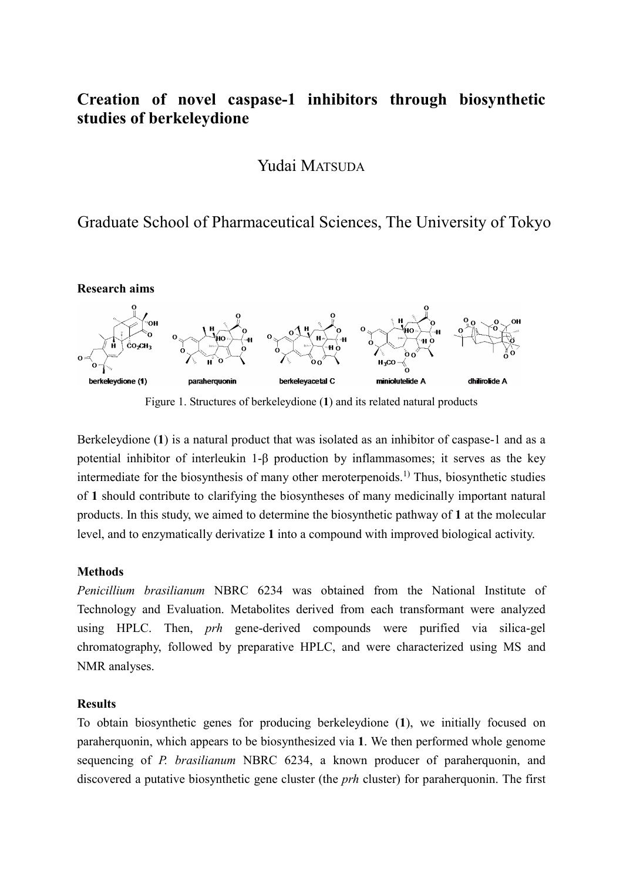# **Creation of novel caspase-1 inhibitors through biosynthetic studies of berkeleydione**

Yudai MATSUDA

Graduate School of Pharmaceutical Sciences, The University of Tokyo



Figure 1. Structures of berkeleydione (**1**) and its related natural products

Berkeleydione (**1**) is a natural product that was isolated as an inhibitor of caspase-1 and as a potential inhibitor of interleukin 1-β production by inflammasomes; it serves as the key intermediate for the biosynthesis of many other meroterpenoids.<sup>1)</sup> Thus, biosynthetic studies of **1** should contribute to clarifying the biosyntheses of many medicinally important natural products. In this study, we aimed to determine the biosynthetic pathway of **1** at the molecular level, and to enzymatically derivatize **1** into a compound with improved biological activity.

## **Methods**

*Penicillium brasilianum* NBRC 6234 was obtained from the National Institute of Technology and Evaluation. Metabolites derived from each transformant were analyzed using HPLC. Then, *prh* gene-derived compounds were purified via silica-gel chromatography, followed by preparative HPLC, and were characterized using MS and NMR analyses.

## **Results**

To obtain biosynthetic genes for producing berkeleydione (**1**), we initially focused on paraherquonin, which appears to be biosynthesized via **1**. We then performed whole genome sequencing of *P. brasilianum* NBRC 6234, a known producer of paraherquonin, and discovered a putative biosynthetic gene cluster (the *prh* cluster) for paraherquonin. The first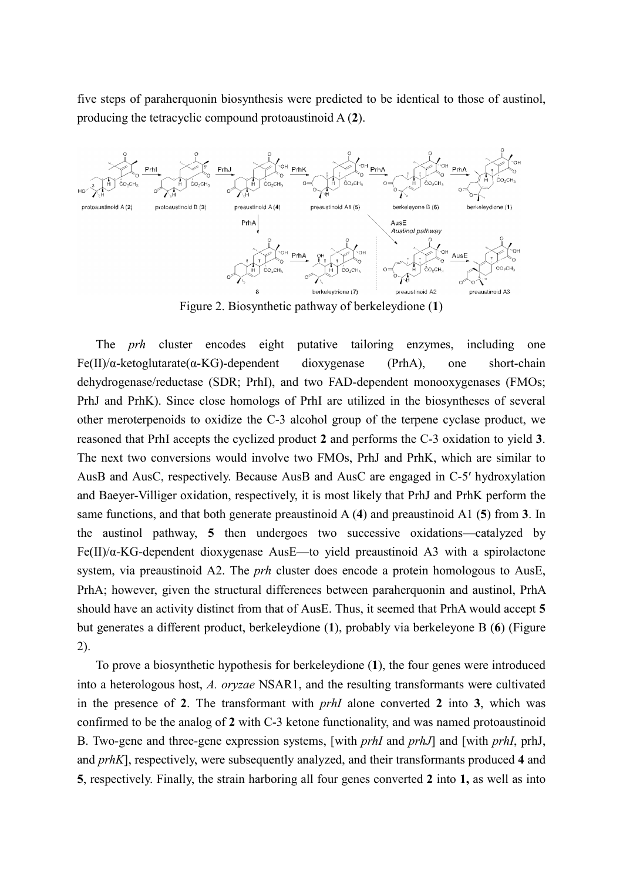five steps of paraherquonin biosynthesis were predicted to be identical to those of austinol, producing the tetracyclic compound protoaustinoid A (**2**).



Figure 2. Biosynthetic pathway of berkeleydione (**1**)

The *prh* cluster encodes eight putative tailoring enzymes, including one Fe(II)/α-ketoglutarate(α-KG)-dependent dioxygenase (PrhA), one short-chain dehydrogenase/reductase (SDR; PrhI), and two FAD-dependent monooxygenases (FMOs; PrhJ and PrhK). Since close homologs of PrhI are utilized in the biosyntheses of several other meroterpenoids to oxidize the C-3 alcohol group of the terpene cyclase product, we reasoned that PrhI accepts the cyclized product **2** and performs the C-3 oxidation to yield **3**. The next two conversions would involve two FMOs, PrhJ and PrhK, which are similar to AusB and AusC, respectively. Because AusB and AusC are engaged in C-5′ hydroxylation and Baeyer-Villiger oxidation, respectively, it is most likely that PrhJ and PrhK perform the same functions, and that both generate preaustinoid A (**4**) and preaustinoid A1 (**5**) from **3**. In the austinol pathway, **5** then undergoes two successive oxidations—catalyzed by Fe(II)/ $\alpha$ -KG-dependent dioxygenase AusE—to yield preaustinoid A3 with a spirolactone system, via preaustinoid A2. The *prh* cluster does encode a protein homologous to AusE, PrhA; however, given the structural differences between paraherquonin and austinol, PrhA should have an activity distinct from that of AusE. Thus, it seemed that PrhA would accept **5** but generates a different product, berkeleydione (**1**), probably via berkeleyone B (**6**) (Figure 2).

To prove a biosynthetic hypothesis for berkeleydione (**1**), the four genes were introduced into a heterologous host, *A. oryzae* NSAR1, and the resulting transformants were cultivated in the presence of **2**. The transformant with *prhI* alone converted **2** into **3**, which was confirmed to be the analog of **2** with C-3 ketone functionality, and was named protoaustinoid B. Two-gene and three-gene expression systems, [with *prhI* and *prhJ*] and [with *prhI*, prhJ, and *prhK*], respectively, were subsequently analyzed, and their transformants produced **4** and **5**, respectively. Finally, the strain harboring all four genes converted **2** into **1,** as well as into